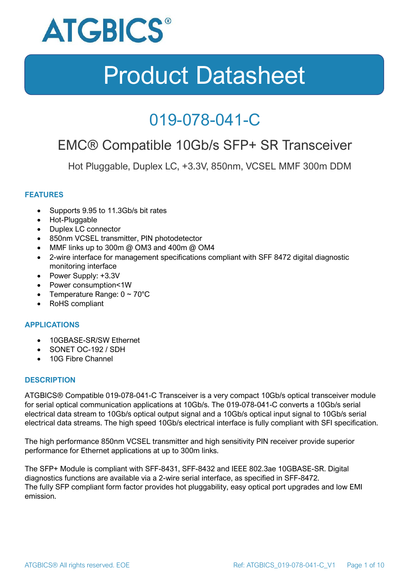

### 019-078-041-C

### EMC® Compatible 10Gb/s SFP+ SR Transceiver

Hot Pluggable, Duplex LC, +3.3V, 850nm, VCSEL MMF 300m DDM

### **FEATURES**

- Supports 9.95 to 11.3Gb/s bit rates
- Hot-Pluggable
- Duplex LC connector
- 850nm VCSEL transmitter, PIN photodetector
- MMF links up to 300m @ OM3 and 400m @ OM4
- 2-wire interface for management specifications compliant with SFF 8472 digital diagnostic monitoring interface
- Power Supply: +3.3V
- Power consumption<1W
- Temperature Range:  $0 \sim 70^{\circ}$ C
- RoHS compliant

#### **APPLICATIONS**

- 10GBASE-SR/SW Ethernet
- SONET OC-192 / SDH
- 10G Fibre Channel

#### **DESCRIPTION**

ATGBICS® Compatible 019-078-041-C Transceiver is a very compact 10Gb/s optical transceiver module for serial optical communication applications at 10Gb/s. The 019-078-041-C converts a 10Gb/s serial electrical data stream to 10Gb/s optical output signal and a 10Gb/s optical input signal to 10Gb/s serial electrical data streams. The high speed 10Gb/s electrical interface is fully compliant with SFI specification.

The high performance 850nm VCSEL transmitter and high sensitivity PIN receiver provide superior performance for Ethernet applications at up to 300m links.

The SFP+ Module is compliant with SFF-8431, SFF-8432 and IEEE 802.3ae 10GBASE-SR. Digital diagnostics functions are available via a 2-wire serial interface, as specified in SFF-8472. The fully SFP compliant form factor provides hot pluggability, easy optical port upgrades and low EMI emission.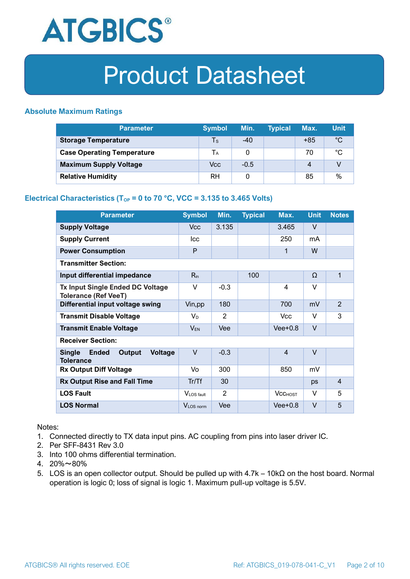

### **Absolute Maximum Ratings**

| <b>Parameter</b>                  | <b>Symbol</b> | Min.   | <b>Typical</b> | Max.  | <b>Unit</b> |
|-----------------------------------|---------------|--------|----------------|-------|-------------|
| <b>Storage Temperature</b>        | Ts            | $-40$  |                | $+85$ | $^{\circ}C$ |
| <b>Case Operating Temperature</b> | Tа            |        |                | 70    | °C          |
| <b>Maximum Supply Voltage</b>     | Vcc           | $-0.5$ |                | 4     |             |
| <b>Relative Humidity</b>          | RH            |        |                | 85    | %           |

### **Electrical Characteristics (T<sub>OP</sub> = 0 to 70 °C, VCC = 3.135 to 3.465 Volts)**

| <b>Parameter</b>                                                              | <b>Symbol</b>         | Min.   | <b>Typical</b> | Max.           | <b>Unit</b> | <b>Notes</b>   |
|-------------------------------------------------------------------------------|-----------------------|--------|----------------|----------------|-------------|----------------|
| <b>Supply Voltage</b>                                                         | V <sub>cc</sub>       | 3.135  |                | 3.465          | $\vee$      |                |
| <b>Supply Current</b>                                                         | <b>Icc</b>            |        |                | 250            | mA          |                |
| <b>Power Consumption</b>                                                      | P                     |        |                | 1              | W           |                |
| <b>Transmitter Section:</b>                                                   |                       |        |                |                |             |                |
| Input differential impedance                                                  | $R_{in}$              |        | 100            |                | Ω           | 1              |
| <b>Tx Input Single Ended DC Voltage</b><br><b>Tolerance (Ref VeeT)</b>        | $\vee$                | $-0.3$ |                | $\overline{4}$ | $\vee$      |                |
| Differential input voltage swing                                              | Vin, pp               | 180    |                | 700            | mV          | $\overline{2}$ |
| <b>Transmit Disable Voltage</b>                                               | $V_D$                 | 2      |                | <b>Vcc</b>     | $\vee$      | 3              |
| <b>Transmit Enable Voltage</b>                                                | $V_{EN}$              | Vee    |                | $Vee+0.8$      | $\vee$      |                |
| <b>Receiver Section:</b>                                                      |                       |        |                |                |             |                |
| <b>Single</b><br><b>Ended</b><br>Output<br><b>Voltage</b><br><b>Tolerance</b> | $\vee$                | $-0.3$ |                | $\overline{4}$ | $\vee$      |                |
| <b>Rx Output Diff Voltage</b>                                                 | Vo                    | 300    |                | 850            | mV          |                |
| <b>Rx Output Rise and Fall Time</b>                                           | Tr/Tf                 | 30     |                |                | ps          | $\overline{4}$ |
| <b>LOS Fault</b>                                                              | VLOS fault            | 2      |                | <b>VCCHOST</b> | V           | 5              |
| <b>LOS Normal</b>                                                             | V <sub>LOS</sub> norm | Vee    |                | $Vee+0.8$      | $\vee$      | 5              |

Notes:

- 1. Connected directly to TX data input pins. AC coupling from pins into laser driver IC.
- 2. Per SFF-8431 Rev 3.0
- 3. Into 100 ohms differential termination.
- 4. 20%~80%
- 5. LOS is an open collector output. Should be pulled up with 4.7k 10kΩ on the host board. Normal operation is logic 0; loss of signal is logic 1. Maximum pull-up voltage is 5.5V.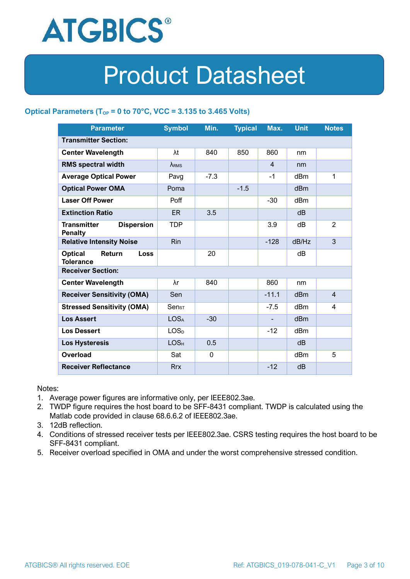

### **Optical Parameters** ( $T_{OP} = 0$  to 70°C, VCC = 3.135 to 3.465 Volts)

| <b>Parameter</b>                                          | <b>Symbol</b>    | Min.        | <b>Typical</b> | Max.           | <b>Unit</b>     | <b>Notes</b>   |  |
|-----------------------------------------------------------|------------------|-------------|----------------|----------------|-----------------|----------------|--|
| <b>Transmitter Section:</b>                               |                  |             |                |                |                 |                |  |
| <b>Center Wavelength</b>                                  | λt               | 840         | 850            | 860            | nm              |                |  |
| <b>RMS spectral width</b>                                 | $\lambda_{RMS}$  |             |                | $\overline{4}$ | nm              |                |  |
| <b>Average Optical Power</b>                              | Pavg             | $-7.3$      |                | $-1$           | dBm             | 1              |  |
| <b>Optical Power OMA</b>                                  | Poma             |             | $-1.5$         |                | dBm             |                |  |
| <b>Laser Off Power</b>                                    | Poff             |             |                | $-30$          | dBm             |                |  |
| <b>Extinction Ratio</b>                                   | <b>ER</b>        | 3.5         |                |                | dB              |                |  |
| <b>Transmitter</b><br><b>Dispersion</b><br><b>Penalty</b> | <b>TDP</b>       |             |                | 3.9            | dB              | 2              |  |
| <b>Relative Intensity Noise</b>                           | Rin              |             |                | $-128$         | dB/Hz           | 3              |  |
| <b>Optical</b><br>Return<br>Loss<br><b>Tolerance</b>      |                  | 20          |                |                | dB              |                |  |
| <b>Receiver Section:</b>                                  |                  |             |                |                |                 |                |  |
| <b>Center Wavelength</b>                                  | λr               | 840         |                | 860            | nm              |                |  |
| <b>Receiver Sensitivity (OMA)</b>                         | Sen              |             |                | $-11.1$        | dB <sub>m</sub> | $\overline{4}$ |  |
| <b>Stressed Sensitivity (OMA)</b>                         | $Sens_T$         |             |                | $-7.5$         | dBm             | 4              |  |
| <b>Los Assert</b>                                         | <b>LOSA</b>      | $-30$       |                |                | dBm             |                |  |
| <b>Los Dessert</b>                                        | LOS <sub>D</sub> |             |                | $-12$          | dBm             |                |  |
| <b>Los Hysteresis</b>                                     | LOS <sub>H</sub> | 0.5         |                |                | dB              |                |  |
| <b>Overload</b>                                           | Sat              | $\mathbf 0$ |                |                | dBm             | 5              |  |
| <b>Receiver Reflectance</b>                               | <b>Rrx</b>       |             |                | $-12$          | dB              |                |  |

Notes:

- 1. Average power figures are informative only, per IEEE802.3ae.
- 2. TWDP figure requires the host board to be SFF-8431 compliant. TWDP is calculated using the Matlab code provided in clause 68.6.6.2 of IEEE802.3ae.
- 3. 12dB reflection.
- 4. Conditions of stressed receiver tests per IEEE802.3ae. CSRS testing requires the host board to be SFF-8431 compliant.
- 5. Receiver overload specified in OMA and under the worst comprehensive stressed condition.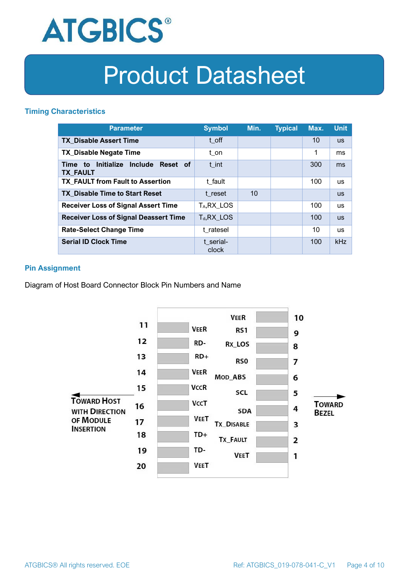

### **Timing Characteristics**

| <b>Parameter</b>                                             | <b>Symbol</b>           | Min. | <b>Typical</b> | Max. | <b>Unit</b> |
|--------------------------------------------------------------|-------------------------|------|----------------|------|-------------|
| <b>TX Disable Assert Time</b>                                | t off                   |      |                | 10   | <b>US</b>   |
| <b>TX_Disable Negate Time</b>                                | t_on                    |      |                | 1    | ms          |
| Initialize Include<br>Reset of<br>Time to<br><b>TX FAULT</b> | t int                   |      |                | 300  | ms          |
| <b>TX FAULT from Fault to Assertion</b>                      | t fault                 |      |                | 100  | <b>us</b>   |
| <b>TX Disable Time to Start Reset</b>                        | t reset                 | 10   |                |      | <b>US</b>   |
| <b>Receiver Loss of Signal Assert Time</b>                   | T <sub>A</sub> , RX LOS |      |                | 100  | <b>us</b>   |
| <b>Receiver Loss of Signal Deassert Time</b>                 | $T_d, RX$ LOS           |      |                | 100  | <b>US</b>   |
| <b>Rate-Select Change Time</b>                               | t ratesel               |      |                | 10   | <b>us</b>   |
| <b>Serial ID Clock Time</b>                                  | t serial-<br>clock      |      |                | 100  | kHz         |

### **Pin Assignment**

Diagram of Host Board Connector Block Pin Numbers and Name

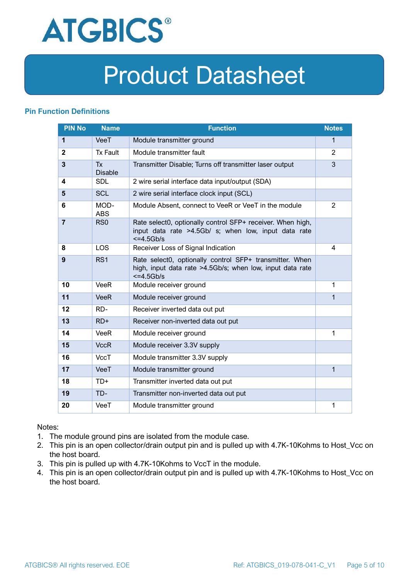

### **Pin Function Definitions**

| <b>PIN No</b>  | <b>Name</b>                 | <b>Function</b>                                                                                                                     | <b>Notes</b>   |
|----------------|-----------------------------|-------------------------------------------------------------------------------------------------------------------------------------|----------------|
| 1              | VeeT                        | Module transmitter ground                                                                                                           | $\mathbf 1$    |
| $\mathbf{2}$   | <b>Tx Fault</b>             | Module transmitter fault                                                                                                            | $\overline{2}$ |
| $\overline{3}$ | <b>Tx</b><br><b>Disable</b> | Transmitter Disable; Turns off transmitter laser output                                                                             | 3              |
| 4              | <b>SDL</b>                  | 2 wire serial interface data input/output (SDA)                                                                                     |                |
| 5              | <b>SCL</b>                  | 2 wire serial interface clock input (SCL)                                                                                           |                |
| 6              | MOD-<br><b>ABS</b>          | Module Absent, connect to VeeR or VeeT in the module                                                                                | $\overline{2}$ |
| $\overline{7}$ | RS <sub>0</sub>             | Rate select0, optionally control SFP+ receiver. When high,<br>input data rate >4.5Gb/ s; when low, input data rate<br>$<=4.5Gb/s$   |                |
| 8              | <b>LOS</b>                  | Receiver Loss of Signal Indication                                                                                                  | 4              |
| 9              | RS <sub>1</sub>             | Rate select0, optionally control SFP+ transmitter. When<br>high, input data rate >4.5Gb/s; when low, input data rate<br>$<=4.5Gb/s$ |                |
| 10             | VeeR                        | Module receiver ground                                                                                                              | 1              |
| 11             | <b>VeeR</b>                 | Module receiver ground                                                                                                              | 1              |
| 12             | RD-                         | Receiver inverted data out put                                                                                                      |                |
| 13             | $RD+$                       | Receiver non-inverted data out put                                                                                                  |                |
| 14             | <b>VeeR</b>                 | Module receiver ground                                                                                                              | 1              |
| 15             | <b>VccR</b>                 | Module receiver 3.3V supply                                                                                                         |                |
| 16             | <b>VccT</b>                 | Module transmitter 3.3V supply                                                                                                      |                |
| 17             | VeeT                        | Module transmitter ground                                                                                                           | $\mathbf{1}$   |
| 18             | TD+                         | Transmitter inverted data out put                                                                                                   |                |
| 19             | TD-                         | Transmitter non-inverted data out put                                                                                               |                |
| 20             | VeeT                        | Module transmitter ground                                                                                                           | 1              |

Notes:

- 1. The module ground pins are isolated from the module case.
- 2. This pin is an open collector/drain output pin and is pulled up with 4.7K-10Kohms to Host\_Vcc on the host board.
- 3. This pin is pulled up with 4.7K-10Kohms to VccT in the module.
- 4. This pin is an open collector/drain output pin and is pulled up with 4.7K-10Kohms to Host Vcc on the host board.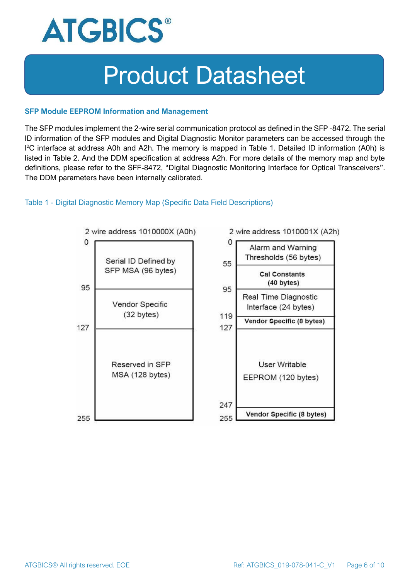

#### **SFP Module EEPROM Information and Management**

The SFP modules implement the 2-wire serial communication protocol as defined in the SFP -8472. The serial ID information of the SFP modules and Digital Diagnostic Monitor parameters can be accessed through the I <sup>2</sup>C interface at address A0h and A2h. The memory is mapped in Table 1. Detailed ID information (A0h) is listed in Table 2. And the DDM specification at address A2h. For more details of the memory map and byte definitions, please refer to the SFF-8472, "Digital Diagnostic Monitoring Interface for Optical Transceivers". The DDM parameters have been internally calibrated.

#### Table 1 - Digital Diagnostic Memory Map (Specific Data Field Descriptions)

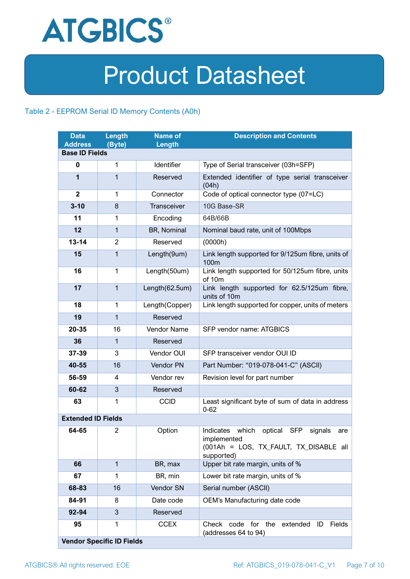

### Table 2 - EEPROM Serial ID Memory Contents (A0h)

| <b>Data</b><br><b>Address</b> | Length<br>(Byte)                 | <b>Name of</b><br>Length | <b>Description and Contents</b>                                                                                                   |
|-------------------------------|----------------------------------|--------------------------|-----------------------------------------------------------------------------------------------------------------------------------|
| <b>Base ID Fields</b>         |                                  |                          |                                                                                                                                   |
| $\mathbf 0$                   | 1                                | Identifier               | Type of Serial transceiver (03h=SFP)                                                                                              |
| 1                             | $\mathbf{1}$                     | Reserved                 | Extended identifier of type serial transceiver<br>(04h)                                                                           |
| $\mathbf{2}$                  | 1                                | Connector                | Code of optical connector type (07=LC)                                                                                            |
| $3 - 10$                      | 8                                | Transceiver              | 10G Base-SR                                                                                                                       |
| 11                            | 1                                | Encoding                 | 64B/66B                                                                                                                           |
| 12                            | $\mathbf{1}$                     | BR, Nominal              | Nominal baud rate, unit of 100Mbps                                                                                                |
| $13 - 14$                     | $\overline{2}$                   | Reserved                 | (0000h)                                                                                                                           |
| 15                            | $\mathbf{1}$                     | Length(9um)              | Link length supported for 9/125um fibre, units of<br>100 <sub>m</sub>                                                             |
| 16                            | $\mathbf 1$                      | Length(50um)             | Link length supported for 50/125um fibre, units<br>of 10m                                                                         |
| 17                            | $\mathbf{1}$                     | Length(62.5um)           | Link length supported for 62.5/125um fibre,<br>units of 10m                                                                       |
| 18                            | $\mathbf{1}$                     | Length(Copper)           | Link length supported for copper, units of meters                                                                                 |
| 19                            | $\mathbf{1}$                     | Reserved                 |                                                                                                                                   |
| 20-35                         | 16                               | Vendor Name              | SFP vendor name: ATGBICS                                                                                                          |
| 36                            | $\mathbf{1}$                     | Reserved                 |                                                                                                                                   |
| 37-39                         | 3                                | Vendor OUI               | SFP transceiver vendor OUI ID                                                                                                     |
| 40-55                         | 16                               | Vendor PN                | Part Number: "019-078-041-C" (ASCII)                                                                                              |
| 56-59                         | 4                                | Vendor rev               | Revision level for part number                                                                                                    |
| 60-62                         | 3                                | Reserved                 |                                                                                                                                   |
| 63                            | 1                                | <b>CCID</b>              | Least significant byte of sum of data in address<br>$0 - 62$                                                                      |
| <b>Extended ID Fields</b>     |                                  |                          |                                                                                                                                   |
| 64-65                         | $\overline{2}$                   | Option                   | Indicates which<br>optical<br><b>SFP</b><br>signals<br>are<br>implemented<br>(001Ah = LOS, TX_FAULT, TX_DISABLE all<br>supported) |
| 66                            | $\mathbf{1}$                     | BR, max                  | Upper bit rate margin, units of %                                                                                                 |
| 67                            | 1                                | BR, min                  | Lower bit rate margin, units of %                                                                                                 |
| 68-83                         | 16                               | Vendor SN                | Serial number (ASCII)                                                                                                             |
| 84-91                         | 8                                | Date code                | OEM's Manufacturing date code                                                                                                     |
| 92-94                         | 3                                | Reserved                 |                                                                                                                                   |
| 95                            | 1                                | <b>CCEX</b>              | code for the<br>Fields<br>Check<br>extended<br>ID<br>(addresses 64 to 94)                                                         |
|                               | <b>Vendor Specific ID Fields</b> |                          |                                                                                                                                   |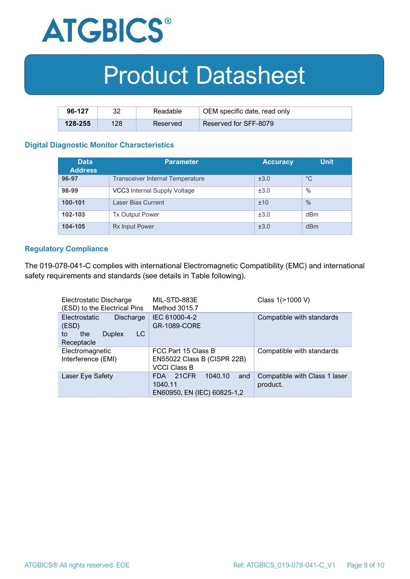

| 96-127  | ററ  | Readable | OEM specific date, read only |
|---------|-----|----------|------------------------------|
| 128-255 | 128 | Reserved | <b>Reserved for SFF-8079</b> |

#### **Digital Diagnostic Monitor Characteristics**

| <b>Data</b><br><b>Address</b> | <b>Parameter</b>                        | <b>Accuracy</b> | <b>Unit</b>     |
|-------------------------------|-----------------------------------------|-----------------|-----------------|
| 96-97                         | <b>Transceiver Internal Temperature</b> | ±3.0            | $^{\circ}C$     |
| 98-99                         | VCC3 Internal Supply Voltage            | ±3.0            | $\%$            |
| 100-101                       | Laser Bias Current                      | ±10             | $\%$            |
| 102-103                       | <b>Tx Output Power</b>                  | ±3.0            | d <sub>Bm</sub> |
| 104-105                       | <b>Rx Input Power</b>                   | ±3.0            | dBm             |

#### **Regulatory Compliance**

The 019-078-041-C complies with international Electromagnetic Compatibility (EMC) and international safety requirements and standards (see details in Table following).

| Electrostatic Discharge<br>(ESD) to the Electrical Pins                               | MIL-STD-883E<br>Method 3015.7                                             | Class 1(>1000 V)                          |
|---------------------------------------------------------------------------------------|---------------------------------------------------------------------------|-------------------------------------------|
| Electrostatic<br>Discharge<br>(ESD)<br>LC<br>the<br><b>Duplex</b><br>to<br>Receptacle | IEC 61000-4-2<br><b>GR-1089-CORE</b>                                      | Compatible with standards                 |
| Electromagnetic<br>Interference (EMI)                                                 | FCC Part 15 Class B<br>EN55022 Class B (CISPR 22B)<br><b>VCCI Class B</b> | Compatible with standards                 |
| Laser Eye Safety                                                                      | 1040.10<br>21CFR<br>FDA.<br>and<br>1040.11<br>EN60950, EN (IEC) 60825-1,2 | Compatible with Class 1 laser<br>product. |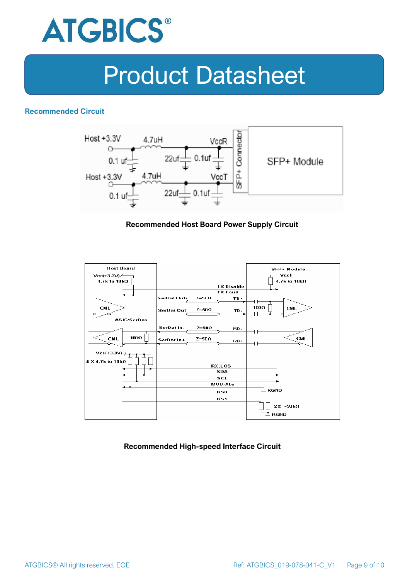

### **Recommended Circuit**



#### **Recommended Host Board Power Supply Circuit**



#### **Recommended High-speed Interface Circuit**